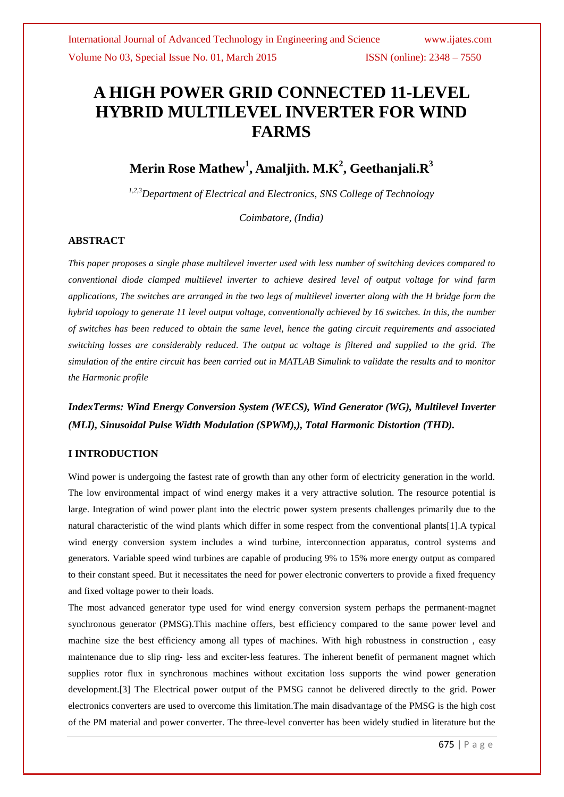# **A HIGH POWER GRID CONNECTED 11-LEVEL HYBRID MULTILEVEL INVERTER FOR WIND FARMS**

# **Merin Rose Mathew<sup>1</sup> , Amaljith. M.K<sup>2</sup> , Geethanjali.R<sup>3</sup>**

*1,2,3Department of Electrical and Electronics, SNS College of Technology*

*Coimbatore, (India)* 

### **ABSTRACT**

*This paper proposes a single phase multilevel inverter used with less number of switching devices compared to conventional diode clamped multilevel inverter to achieve desired level of output voltage for wind farm applications, The switches are arranged in the two legs of multilevel inverter along with the H bridge form the hybrid topology to generate 11 level output voltage, conventionally achieved by 16 switches. In this, the number of switches has been reduced to obtain the same level, hence the gating circuit requirements and associated switching losses are considerably reduced. The output ac voltage is filtered and supplied to the grid. The simulation of the entire circuit has been carried out in MATLAB Simulink to validate the results and to monitor the Harmonic profile*

### *IndexTerms: Wind Energy Conversion System (WECS), Wind Generator (WG), Multilevel Inverter (MLI), Sinusoidal Pulse Width Modulation (SPWM),), Total Harmonic Distortion (THD).*

### **I INTRODUCTION**

Wind power is undergoing the fastest rate of growth than any other form of electricity generation in the world. The low environmental impact of wind energy makes it a very attractive solution. The resource potential is large. Integration of wind power plant into the electric power system presents challenges primarily due to the natural characteristic of the wind plants which differ in some respect from the conventional plants[1].A typical wind energy conversion system includes a wind turbine, interconnection apparatus, control systems and generators. Variable speed wind turbines are capable of producing 9% to 15% more energy output as compared to their constant speed. But it necessitates the need for power electronic converters to provide a fixed frequency and fixed voltage power to their loads.

The most advanced generator type used for wind energy conversion system perhaps the permanent-magnet synchronous generator (PMSG).This machine offers, best efficiency compared to the same power level and machine size the best efficiency among all types of machines. With high robustness in construction , easy maintenance due to slip ring‐ less and exciter‐less features. The inherent benefit of permanent magnet which supplies rotor flux in synchronous machines without excitation loss supports the wind power generation development.[3] The Electrical power output of the PMSG cannot be delivered directly to the grid. Power electronics converters are used to overcome this limitation.The main disadvantage of the PMSG is the high cost of the PM material and power converter. The three-level converter has been widely studied in literature but the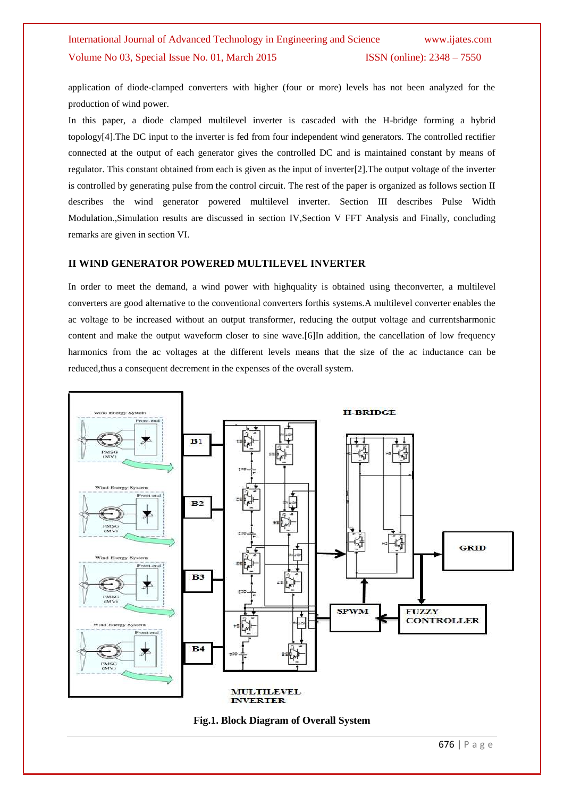application of diode-clamped converters with higher (four or more) levels has not been analyzed for the production of wind power.

In this paper, a diode clamped multilevel inverter is cascaded with the H-bridge forming a hybrid topology[4].The DC input to the inverter is fed from four independent wind generators. The controlled rectifier connected at the output of each generator gives the controlled DC and is maintained constant by means of regulator. This constant obtained from each is given as the input of inverter[2].The output voltage of the inverter is controlled by generating pulse from the control circuit. The rest of the paper is organized as follows section II describes the wind generator powered multilevel inverter. Section III describes Pulse Width Modulation.,Simulation results are discussed in section IV,Section V FFT Analysis and Finally, concluding remarks are given in section VI.

#### **II WIND GENERATOR POWERED MULTILEVEL INVERTER**

In order to meet the demand, a wind power with highquality is obtained using theconverter, a multilevel converters are good alternative to the conventional converters forthis systems.A multilevel converter enables the ac voltage to be increased without an output transformer, reducing the output voltage and currentsharmonic content and make the output waveform closer to sine wave.[6]In addition, the cancellation of low frequency harmonics from the ac voltages at the different levels means that the size of the ac inductance can be reduced,thus a consequent decrement in the expenses of the overall system.



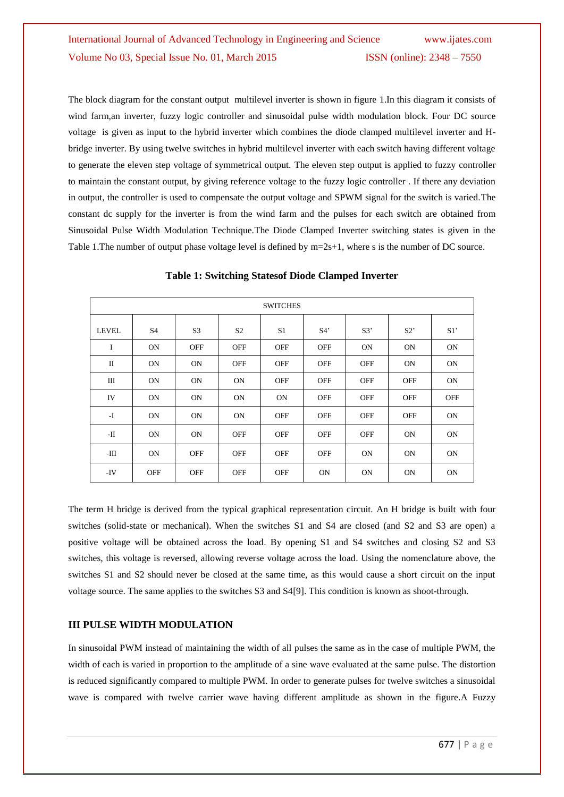The block diagram for the constant output multilevel inverter is shown in figure 1.In this diagram it consists of wind farm,an inverter, fuzzy logic controller and sinusoidal pulse width modulation block. Four DC source voltage is given as input to the hybrid inverter which combines the diode clamped multilevel inverter and Hbridge inverter. By using twelve switches in hybrid multilevel inverter with each switch having different voltage to generate the eleven step voltage of symmetrical output. The eleven step output is applied to fuzzy controller to maintain the constant output, by giving reference voltage to the fuzzy logic controller . If there any deviation in output, the controller is used to compensate the output voltage and SPWM signal for the switch is varied.The constant dc supply for the inverter is from the wind farm and the pulses for each switch are obtained from Sinusoidal Pulse Width Modulation Technique.The Diode Clamped Inverter switching states is given in the Table 1. The number of output phase voltage level is defined by  $m=2s+1$ , where s is the number of DC source.

| <b>SWITCHES</b> |            |                |                |                |            |            |            |            |
|-----------------|------------|----------------|----------------|----------------|------------|------------|------------|------------|
| <b>LEVEL</b>    | S4         | S <sub>3</sub> | S <sub>2</sub> | S <sub>1</sub> | S4'        | S3         | S2         | S1         |
| I               | <b>ON</b>  | <b>OFF</b>     | <b>OFF</b>     | <b>OFF</b>     | <b>OFF</b> | <b>ON</b>  | <b>ON</b>  | <b>ON</b>  |
| П               | <b>ON</b>  | <b>ON</b>      | <b>OFF</b>     | <b>OFF</b>     | <b>OFF</b> | <b>OFF</b> | <b>ON</b>  | <b>ON</b>  |
| Ш               | <b>ON</b>  | <b>ON</b>      | <b>ON</b>      | <b>OFF</b>     | <b>OFF</b> | <b>OFF</b> | <b>OFF</b> | <b>ON</b>  |
| IV              | <b>ON</b>  | <b>ON</b>      | <b>ON</b>      | <b>ON</b>      | <b>OFF</b> | <b>OFF</b> | <b>OFF</b> | <b>OFF</b> |
| $-I$            | <b>ON</b>  | <b>ON</b>      | <b>ON</b>      | <b>OFF</b>     | <b>OFF</b> | <b>OFF</b> | <b>OFF</b> | <b>ON</b>  |
| -П              | <b>ON</b>  | <b>ON</b>      | <b>OFF</b>     | <b>OFF</b>     | <b>OFF</b> | <b>OFF</b> | <b>ON</b>  | <b>ON</b>  |
| -Ш              | <b>ON</b>  | <b>OFF</b>     | <b>OFF</b>     | <b>OFF</b>     | <b>OFF</b> | <b>ON</b>  | <b>ON</b>  | <b>ON</b>  |
| $-IV$           | <b>OFF</b> | <b>OFF</b>     | <b>OFF</b>     | <b>OFF</b>     | <b>ON</b>  | <b>ON</b>  | <b>ON</b>  | <b>ON</b>  |

#### **Table 1: Switching Statesof Diode Clamped Inverter**

The term H bridge is derived from the typical graphical representation circuit. An H bridge is built with four switches (solid-state or mechanical). When the switches S1 and S4 are closed (and S2 and S3 are open) a positive voltage will be obtained across the load. By opening S1 and S4 switches and closing S2 and S3 switches, this voltage is reversed, allowing reverse voltage across the load. Using the nomenclature above, the switches S1 and S2 should never be closed at the same time, as this would cause a short circuit on the input voltage source. The same applies to the switches S3 and S4[9]. This condition is known as shoot-through.

### **III PULSE WIDTH MODULATION**

In sinusoidal PWM instead of maintaining the width of all pulses the same as in the case of multiple PWM, the width of each is varied in proportion to the amplitude of a sine wave evaluated at the same pulse. The distortion is reduced significantly compared to multiple PWM. In order to generate pulses for twelve switches a sinusoidal wave is compared with twelve carrier wave having different amplitude as shown in the figure.A Fuzzy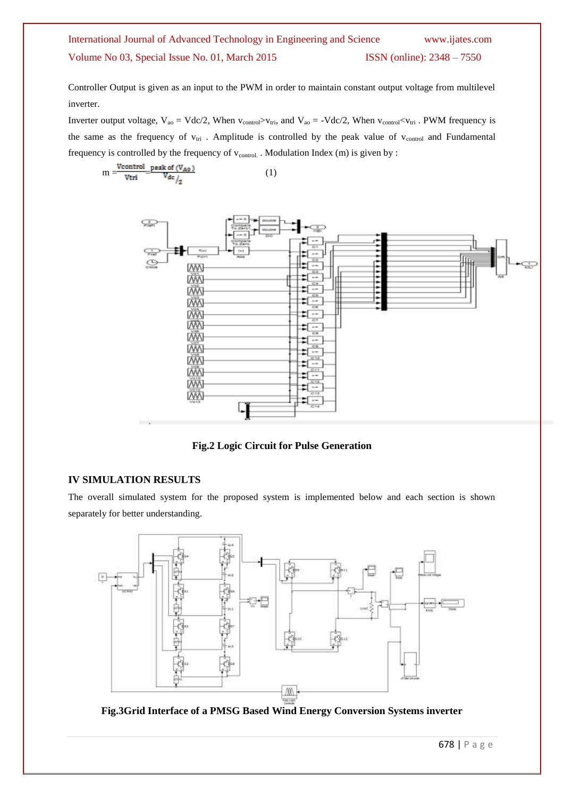Controller Output is given as an input to the PWM in order to maintain constant output voltage from multilevel inverter.

Inverter output voltage,  $V_{ao} = Vdc/2$ , When  $v_{control} > v_{tri}$ , and  $V_{ao} = -Vdc/2$ , When  $v_{control} < v_{tri}$ . PWM frequency is the same as the frequency of  $v_{tri}$ . Amplitude is controlled by the peak value of  $v_{control}$  and Fundamental frequency is controlled by the frequency of  $v_{control}$ . Modulation Index (m) is given by :

$$
m = \frac{V\text{control}}{V\text{tri}} = \frac{\text{peak of } (V_{A0})}{V_{dc}} \tag{1}
$$



**Fig.2 Logic Circuit for Pulse Generation**

### **IV SIMULATION RESULTS**

The overall simulated system for the proposed system is implemented below and each section is shown separately for better understanding.



**Fig.3Grid Interface of a PMSG Based Wind Energy Conversion Systems inverter**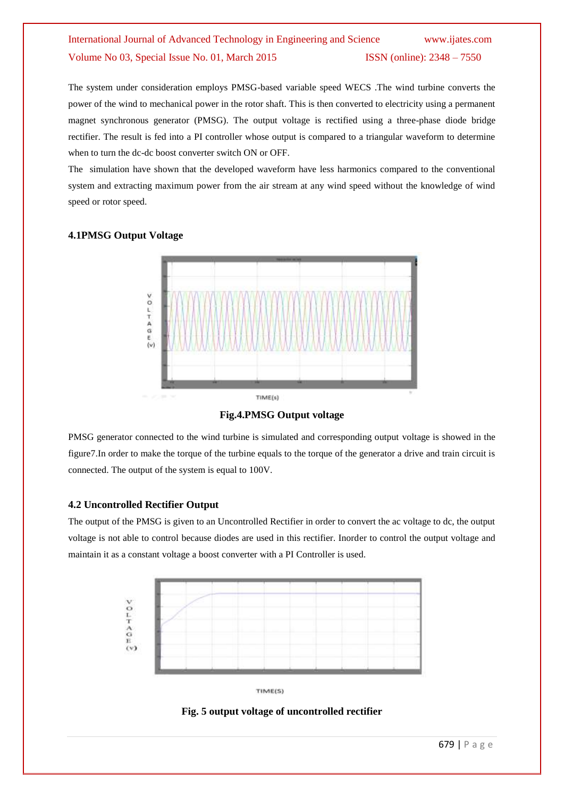The system under consideration employs PMSG-based variable speed WECS .The wind turbine converts the power of the wind to mechanical power in the rotor shaft. This is then converted to electricity using a permanent magnet synchronous generator (PMSG). The output voltage is rectified using a three-phase diode bridge rectifier. The result is fed into a PI controller whose output is compared to a triangular waveform to determine when to turn the dc-dc boost converter switch ON or OFF.

The simulation have shown that the developed waveform have less harmonics compared to the conventional system and extracting maximum power from the air stream at any wind speed without the knowledge of wind speed or rotor speed.

### **4.1PMSG Output Voltage**



**Fig.4.PMSG Output voltage**

PMSG generator connected to the wind turbine is simulated and corresponding output voltage is showed in the figure7.In order to make the torque of the turbine equals to the torque of the generator a drive and train circuit is connected. The output of the system is equal to 100V.

### **4.2 Uncontrolled Rectifier Output**

The output of the PMSG is given to an Uncontrolled Rectifier in order to convert the ac voltage to dc, the output voltage is not able to control because diodes are used in this rectifier. Inorder to control the output voltage and maintain it as a constant voltage a boost converter with a PI Controller is used.



TIME(S)

**Fig. 5 output voltage of uncontrolled rectifier**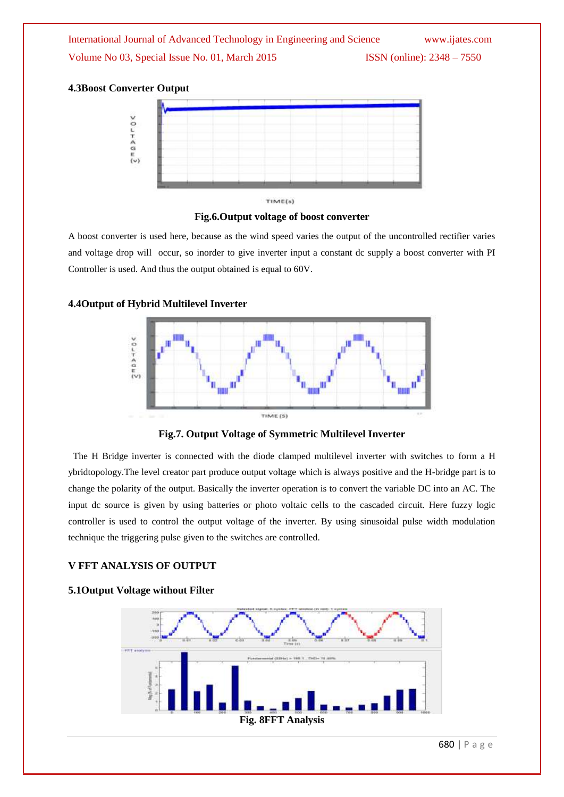

**Fig.6.Output voltage of boost converter**

A boost converter is used here, because as the wind speed varies the output of the uncontrolled rectifier varies and voltage drop will occur, so inorder to give inverter input a constant dc supply a boost converter with PI Controller is used. And thus the output obtained is equal to 60V.

### **4.4Output of Hybrid Multilevel Inverter**



**Fig.7. Output Voltage of Symmetric Multilevel Inverter**

 The H Bridge inverter is connected with the diode clamped multilevel inverter with switches to form a H ybridtopology.The level creator part produce output voltage which is always positive and the H-bridge part is to change the polarity of the output. Basically the inverter operation is to convert the variable DC into an AC. The input dc source is given by using batteries or photo voltaic cells to the cascaded circuit. Here fuzzy logic controller is used to control the output voltage of the inverter. By using sinusoidal pulse width modulation technique the triggering pulse given to the switches are controlled.

### **V FFT ANALYSIS OF OUTPUT**

### **5.1Output Voltage without Filter**

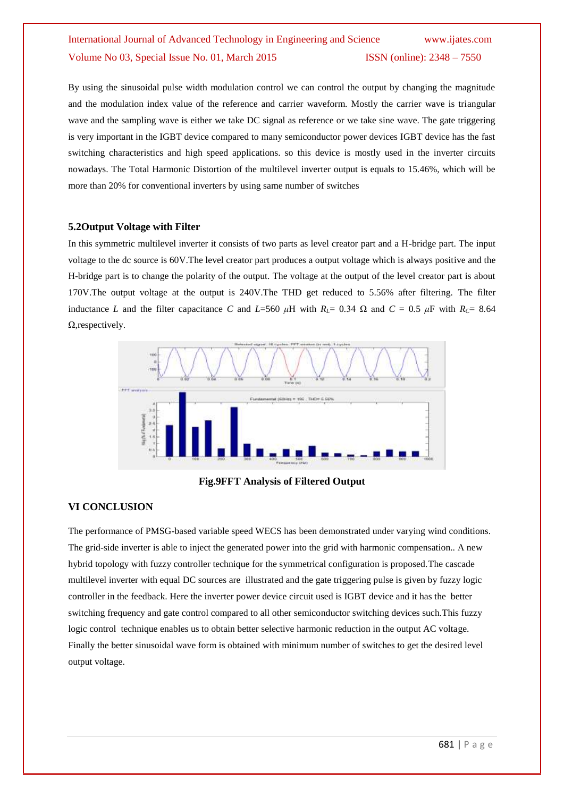By using the sinusoidal pulse width modulation control we can control the output by changing the magnitude and the modulation index value of the reference and carrier waveform. Mostly the carrier wave is triangular wave and the sampling wave is either we take DC signal as reference or we take sine wave. The gate triggering is very important in the IGBT device compared to many semiconductor power devices IGBT device has the fast switching characteristics and high speed applications. so this device is mostly used in the inverter circuits nowadays. The Total Harmonic Distortion of the multilevel inverter output is equals to 15.46%, which will be more than 20% for conventional inverters by using same number of switches

#### **5.2Output Voltage with Filter**

In this symmetric multilevel inverter it consists of two parts as level creator part and a H-bridge part. The input voltage to the dc source is 60V.The level creator part produces a output voltage which is always positive and the H-bridge part is to change the polarity of the output. The voltage at the output of the level creator part is about 170V.The output voltage at the output is 240V.The THD get reduced to 5.56% after filtering. The filter inductance *L* and the filter capacitance *C* and *L*=560  $\mu$ H with  $R_L$ = 0.34  $\Omega$  and  $C = 0.5 \mu$ F with  $R_C$ = 8.64 Ω,respectively.



**Fig.9FFT Analysis of Filtered Output**

#### **VI CONCLUSION**

The performance of PMSG-based variable speed WECS has been demonstrated under varying wind conditions. The grid-side inverter is able to inject the generated power into the grid with harmonic compensation.. A new hybrid topology with fuzzy controller technique for the symmetrical configuration is proposed.The cascade multilevel inverter with equal DC sources are illustrated and the gate triggering pulse is given by fuzzy logic controller in the feedback. Here the inverter power device circuit used is IGBT device and it has the better switching frequency and gate control compared to all other semiconductor switching devices such.This fuzzy logic control technique enables us to obtain better selective harmonic reduction in the output AC voltage. Finally the better sinusoidal wave form is obtained with minimum number of switches to get the desired level output voltage.